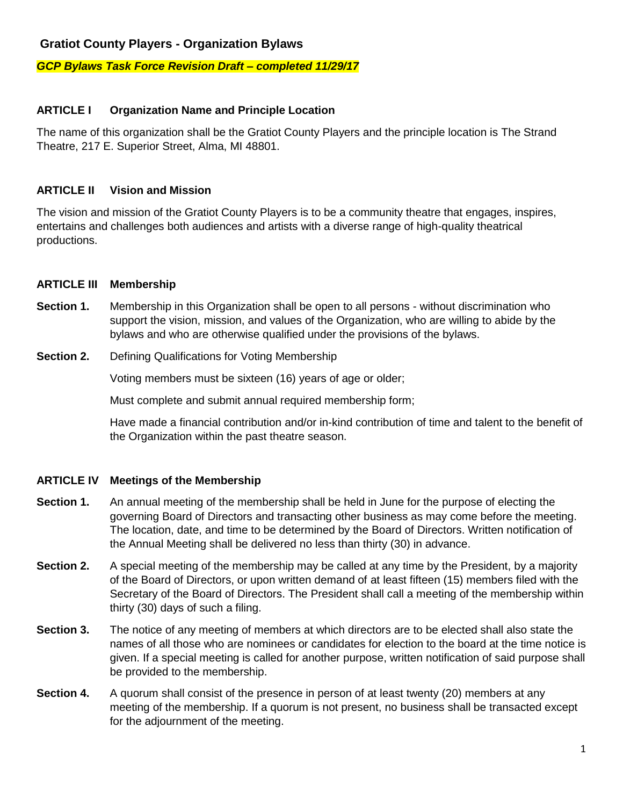### **Gratiot County Players - Organization Bylaws**

#### *GCP Bylaws Task Force Revision Draft – completed 11/29/17*

### **ARTICLE I Organization Name and Principle Location**

The name of this organization shall be the Gratiot County Players and the principle location is The Strand Theatre, 217 E. Superior Street, Alma, MI 48801.

### **ARTICLE II Vision and Mission**

The vision and mission of the Gratiot County Players is to be a community theatre that engages, inspires, entertains and challenges both audiences and artists with a diverse range of high-quality theatrical productions.

#### **ARTICLE III Membership**

- **Section 1.** Membership in this Organization shall be open to all persons without discrimination who support the vision, mission, and values of the Organization, who are willing to abide by the bylaws and who are otherwise qualified under the provisions of the bylaws.
- **Section 2.** Defining Qualifications for Voting Membership

Voting members must be sixteen (16) years of age or older;

Must complete and submit annual required membership form;

Have made a financial contribution and/or in-kind contribution of time and talent to the benefit of the Organization within the past theatre season.

### **ARTICLE IV Meetings of the Membership**

- **Section 1.** An annual meeting of the membership shall be held in June for the purpose of electing the governing Board of Directors and transacting other business as may come before the meeting. The location, date, and time to be determined by the Board of Directors. Written notification of the Annual Meeting shall be delivered no less than thirty (30) in advance.
- **Section 2.** A special meeting of the membership may be called at any time by the President, by a majority of the Board of Directors, or upon written demand of at least fifteen (15) members filed with the Secretary of the Board of Directors. The President shall call a meeting of the membership within thirty (30) days of such a filing.
- **Section 3.** The notice of any meeting of members at which directors are to be elected shall also state the names of all those who are nominees or candidates for election to the board at the time notice is given. If a special meeting is called for another purpose, written notification of said purpose shall be provided to the membership.
- **Section 4.** A quorum shall consist of the presence in person of at least twenty (20) members at any meeting of the membership. If a quorum is not present, no business shall be transacted except for the adjournment of the meeting.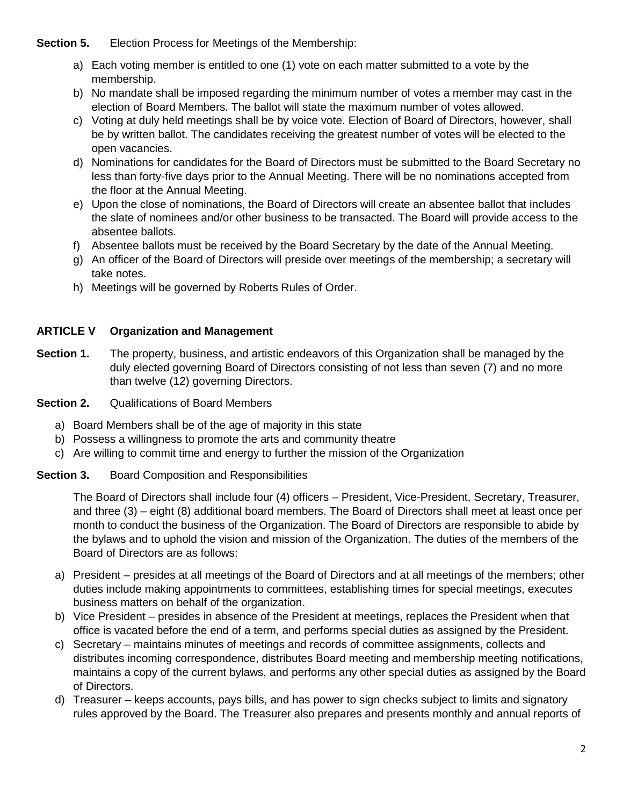**Section 5.** Election Process for Meetings of the Membership:

- a) Each voting member is entitled to one (1) vote on each matter submitted to a vote by the membership.
- b) No mandate shall be imposed regarding the minimum number of votes a member may cast in the election of Board Members. The ballot will state the maximum number of votes allowed.
- c) Voting at duly held meetings shall be by voice vote. Election of Board of Directors, however, shall be by written ballot. The candidates receiving the greatest number of votes will be elected to the open vacancies.
- d) Nominations for candidates for the Board of Directors must be submitted to the Board Secretary no less than forty-five days prior to the Annual Meeting. There will be no nominations accepted from the floor at the Annual Meeting.
- e) Upon the close of nominations, the Board of Directors will create an absentee ballot that includes the slate of nominees and/or other business to be transacted. The Board will provide access to the absentee ballots.
- f) Absentee ballots must be received by the Board Secretary by the date of the Annual Meeting.
- g) An officer of the Board of Directors will preside over meetings of the membership; a secretary will take notes.
- h) Meetings will be governed by Roberts Rules of Order.

## **ARTICLE V Organization and Management**

**Section 1.** The property, business, and artistic endeavors of this Organization shall be managed by the duly elected governing Board of Directors consisting of not less than seven (7) and no more than twelve (12) governing Directors.

**Section 2.** Qualifications of Board Members

- a) Board Members shall be of the age of majority in this state
- b) Possess a willingness to promote the arts and community theatre
- c) Are willing to commit time and energy to further the mission of the Organization

**Section 3.** Board Composition and Responsibilities

The Board of Directors shall include four (4) officers – President, Vice-President, Secretary, Treasurer, and three (3) – eight (8) additional board members. The Board of Directors shall meet at least once per month to conduct the business of the Organization. The Board of Directors are responsible to abide by the bylaws and to uphold the vision and mission of the Organization. The duties of the members of the Board of Directors are as follows:

- a) President presides at all meetings of the Board of Directors and at all meetings of the members; other duties include making appointments to committees, establishing times for special meetings, executes business matters on behalf of the organization.
- b) Vice President presides in absence of the President at meetings, replaces the President when that office is vacated before the end of a term, and performs special duties as assigned by the President.
- c) Secretary maintains minutes of meetings and records of committee assignments, collects and distributes incoming correspondence, distributes Board meeting and membership meeting notifications, maintains a copy of the current bylaws, and performs any other special duties as assigned by the Board of Directors.
- d) Treasurer keeps accounts, pays bills, and has power to sign checks subject to limits and signatory rules approved by the Board. The Treasurer also prepares and presents monthly and annual reports of